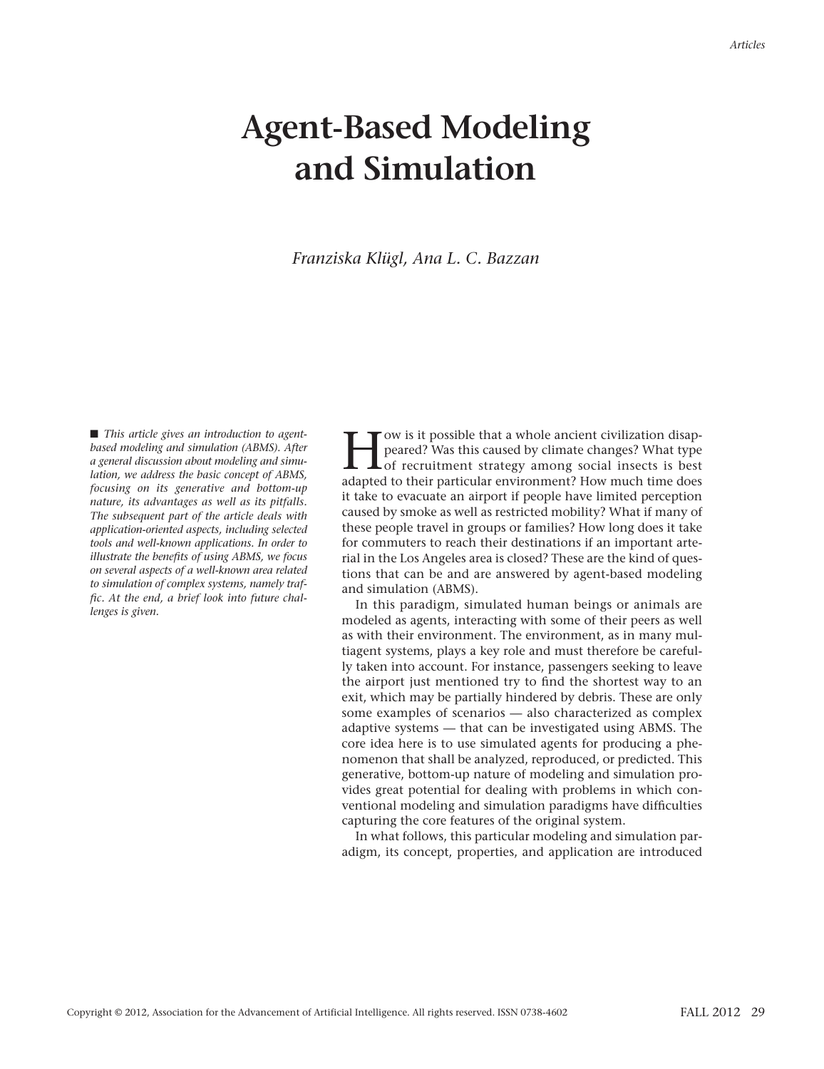# **Agent-Based Modeling and Simulation**

*Franziska Klügl, Ana L. C. Bazzan*

■ *This article gives an introduction to agentbased modeling and simulation (ABMS). After a general discussion about modeling and simulation, we address the basic concept of ABMS, focusing on its generative and bottom-up nature, its advantages as well as its pitfalls. The subsequent part of the article deals with application-oriented aspects, including selected tools and well-known applications. In order to illustrate the benefits of using ABMS, we focus on several aspects of a well-known area related to simulation of complex systems, namely traffic. At the end, a brief look into future challenges is given.*

The peared? Was this caused by climate changes? What type of recruitment strategy among social insects is best adapted to their particular environment? How much time does peared? Was this caused by climate changes? What type adapted to their particular environment? How much time does it take to evacuate an airport if people have limited perception caused by smoke as well as restricted mobility? What if many of these people travel in groups or families? How long does it take for commuters to reach their destinations if an important arterial in the Los Angeles area is closed? These are the kind of questions that can be and are answered by agent-based modeling and simulation (ABMS).

In this paradigm, simulated human beings or animals are modeled as agents, interacting with some of their peers as well as with their environment. The environment, as in many multiagent systems, plays a key role and must therefore be carefully taken into account. For instance, passengers seeking to leave the airport just mentioned try to find the shortest way to an exit, which may be partially hindered by debris. These are only some examples of scenarios — also characterized as complex adaptive systems — that can be investigated using ABMS. The core idea here is to use simulated agents for producing a phenomenon that shall be analyzed, reproduced, or predicted. This generative, bottom-up nature of modeling and simulation provides great potential for dealing with problems in which conventional modeling and simulation paradigms have difficulties capturing the core features of the original system.

In what follows, this particular modeling and simulation paradigm, its concept, properties, and application are introduced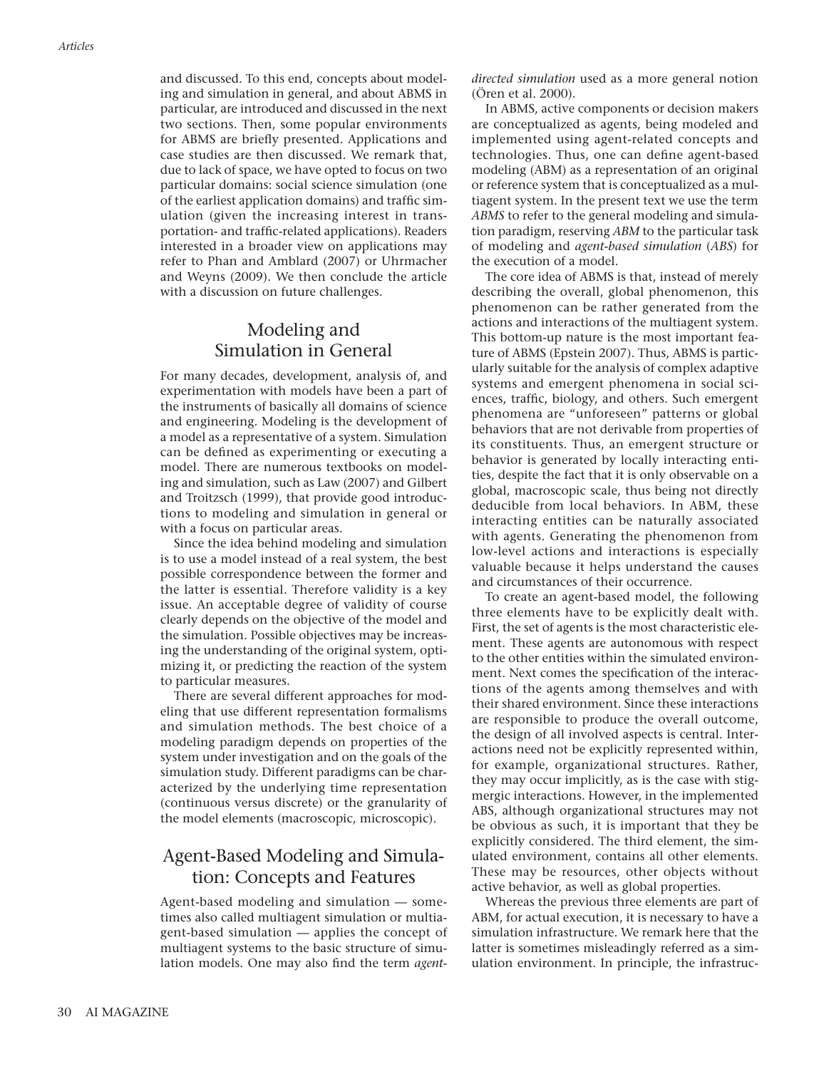and discussed. To this end, concepts about modeling and simulation in general, and about ABMS in particular, are introduced and discussed in the next two sections. Then, some popular environments for ABMS are briefly presented. Applications and case studies are then discussed. We remark that, due to lack of space, we have opted to focus on two particular domains: social science simulation (one of the earliest application domains) and traffic simulation (given the increasing interest in transportation- and traffic-related applications). Readers interested in a broader view on applications may refer to Phan and Amblard (2007) or Uhrmacher and Weyns (2009). We then conclude the article with a discussion on future challenges.

# Modeling and Simulation in General

For many decades, development, analysis of, and experimentation with models have been a part of the instruments of basically all domains of science and engineering. Modeling is the development of a model as a representative of a system. Simulation can be defined as experimenting or executing a model. There are numerous textbooks on modeling and simulation, such as Law (2007) and Gilbert and Troitzsch (1999), that provide good introductions to modeling and simulation in general or with a focus on particular areas.

Since the idea behind modeling and simulation is to use a model instead of a real system, the best possible correspondence between the former and the latter is essential. Therefore validity is a key issue. An acceptable degree of validity of course clearly depends on the objective of the model and the simulation. Possible objectives may be increasing the understanding of the original system, optimizing it, or predicting the reaction of the system to particular measures.

There are several different approaches for modeling that use different representation formalisms and simulation methods. The best choice of a modeling paradigm depends on properties of the system under investigation and on the goals of the simulation study. Different paradigms can be characterized by the underlying time representation (continuous versus discrete) or the granularity of the model elements (macroscopic, microscopic).

# Agent-Based Modeling and Simulation: Concepts and Features

Agent-based modeling and simulation — sometimes also called multiagent simulation or multiagent-based simulation — applies the concept of multiagent systems to the basic structure of simulation models. One may also find the term *agent-* *directed simulation* used as a more general notion (Ören et al. 2000).

In ABMS, active components or decision makers are conceptualized as agents, being modeled and implemented using agent-related concepts and technologies. Thus, one can define agent-based modeling (ABM) as a representation of an original or reference system that is conceptualized as a multiagent system. In the present text we use the term *ABMS* to refer to the general modeling and simulation paradigm, reserving *ABM* to the particular task of modeling and *agent-based simulation* (*ABS*) for the execution of a model.

The core idea of ABMS is that, instead of merely describing the overall, global phenomenon, this phenomenon can be rather generated from the actions and interactions of the multiagent system. This bottom-up nature is the most important feature of ABMS (Epstein 2007). Thus, ABMS is particularly suitable for the analysis of complex adaptive systems and emergent phenomena in social sciences, traffic, biology, and others. Such emergent phenomena are "unforeseen" patterns or global behaviors that are not derivable from properties of its constituents. Thus, an emergent structure or behavior is generated by locally interacting entities, despite the fact that it is only observable on a global, macroscopic scale, thus being not directly deducible from local behaviors. In ABM, these interacting entities can be naturally associated with agents. Generating the phenomenon from low-level actions and interactions is especially valuable because it helps understand the causes and circumstances of their occurrence.

To create an agent-based model, the following three elements have to be explicitly dealt with. First, the set of agents is the most characteristic element. These agents are autonomous with respect to the other entities within the simulated environment. Next comes the specification of the interactions of the agents among themselves and with their shared environment. Since these interactions are responsible to produce the overall outcome, the design of all involved aspects is central. Interactions need not be explicitly represented within, for example, organizational structures. Rather, they may occur implicitly, as is the case with stigmergic interactions. However, in the implemented ABS, although organizational structures may not be obvious as such, it is important that they be explicitly considered. The third element, the simulated environment, contains all other elements. These may be resources, other objects without active behavior, as well as global properties.

Whereas the previous three elements are part of ABM, for actual execution, it is necessary to have a simulation infrastructure. We remark here that the latter is sometimes misleadingly referred as a simulation environment. In principle, the infrastruc-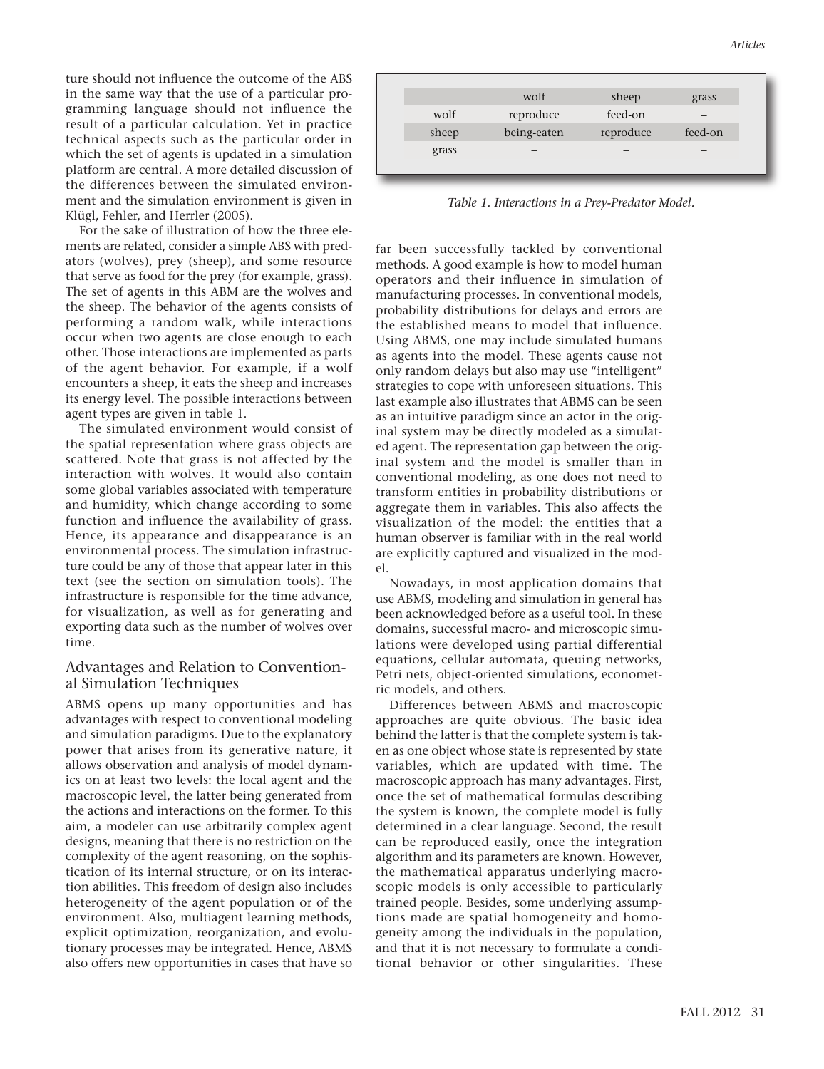ture should not influence the outcome of the ABS in the same way that the use of a particular programming language should not influence the result of a particular calculation. Yet in practice technical aspects such as the particular order in which the set of agents is updated in a simulation platform are central. A more detailed discussion of the differences between the simulated environment and the simulation environment is given in Klügl, Fehler, and Herrler (2005).

For the sake of illustration of how the three elements are related, consider a simple ABS with predators (wolves), prey (sheep), and some resource that serve as food for the prey (for example, grass). The set of agents in this ABM are the wolves and the sheep. The behavior of the agents consists of performing a random walk, while interactions occur when two agents are close enough to each other. Those interactions are implemented as parts of the agent behavior. For example, if a wolf encounters a sheep, it eats the sheep and increases its energy level. The possible interactions between agent types are given in table 1.

The simulated environment would consist of the spatial representation where grass objects are scattered. Note that grass is not affected by the interaction with wolves. It would also contain some global variables associated with temperature and humidity, which change according to some function and influence the availability of grass. Hence, its appearance and disappearance is an environmental process. The simulation infrastructure could be any of those that appear later in this text (see the section on simulation tools). The infrastructure is responsible for the time advance, for visualization, as well as for generating and exporting data such as the number of wolves over time.

### Advantages and Relation to Conventional Simulation Techniques

ABMS opens up many opportunities and has advantages with respect to conventional modeling and simulation paradigms. Due to the explanatory power that arises from its generative nature, it allows observation and analysis of model dynamics on at least two levels: the local agent and the macroscopic level, the latter being generated from the actions and interactions on the former. To this aim, a modeler can use arbitrarily complex agent designs, meaning that there is no restriction on the complexity of the agent reasoning, on the sophistication of its internal structure, or on its interaction abilities. This freedom of design also includes heterogeneity of the agent population or of the environment. Also, multiagent learning methods, explicit optimization, reorganization, and evolutionary processes may be integrated. Hence, ABMS also offers new opportunities in cases that have so

|       | wolf        | sheep     | grass   |
|-------|-------------|-----------|---------|
| wolf  | reproduce   | feed-on   |         |
| sheep | being-eaten | reproduce | feed-on |
| grass |             |           |         |
|       |             |           |         |

*Table 1. Interactions in a Prey-Predator Model.*

far been successfully tackled by conventional methods. A good example is how to model human operators and their influence in simulation of manufacturing processes. In conventional models, probability distributions for delays and errors are the established means to model that influence. Using ABMS, one may include simulated humans as agents into the model. These agents cause not only random delays but also may use "intelligent" strategies to cope with unforeseen situations. This last example also illustrates that ABMS can be seen as an intuitive paradigm since an actor in the original system may be directly modeled as a simulated agent. The representation gap between the original system and the model is smaller than in conventional modeling, as one does not need to transform entities in probability distributions or aggregate them in variables. This also affects the visualization of the model: the entities that a human observer is familiar with in the real world are explicitly captured and visualized in the model.

Nowadays, in most application domains that use ABMS, modeling and simulation in general has been acknowledged before as a useful tool. In these domains, successful macro- and microscopic simulations were developed using partial differential equations, cellular automata, queuing networks, Petri nets, object-oriented simulations, econometric models, and others.

Differences between ABMS and macroscopic approaches are quite obvious. The basic idea behind the latter is that the complete system is taken as one object whose state is represented by state variables, which are updated with time. The macroscopic approach has many advantages. First, once the set of mathematical formulas describing the system is known, the complete model is fully determined in a clear language. Second, the result can be reproduced easily, once the integration algorithm and its parameters are known. However, the mathematical apparatus underlying macroscopic models is only accessible to particularly trained people. Besides, some underlying assumptions made are spatial homogeneity and homogeneity among the individuals in the population, and that it is not necessary to formulate a conditional behavior or other singularities. These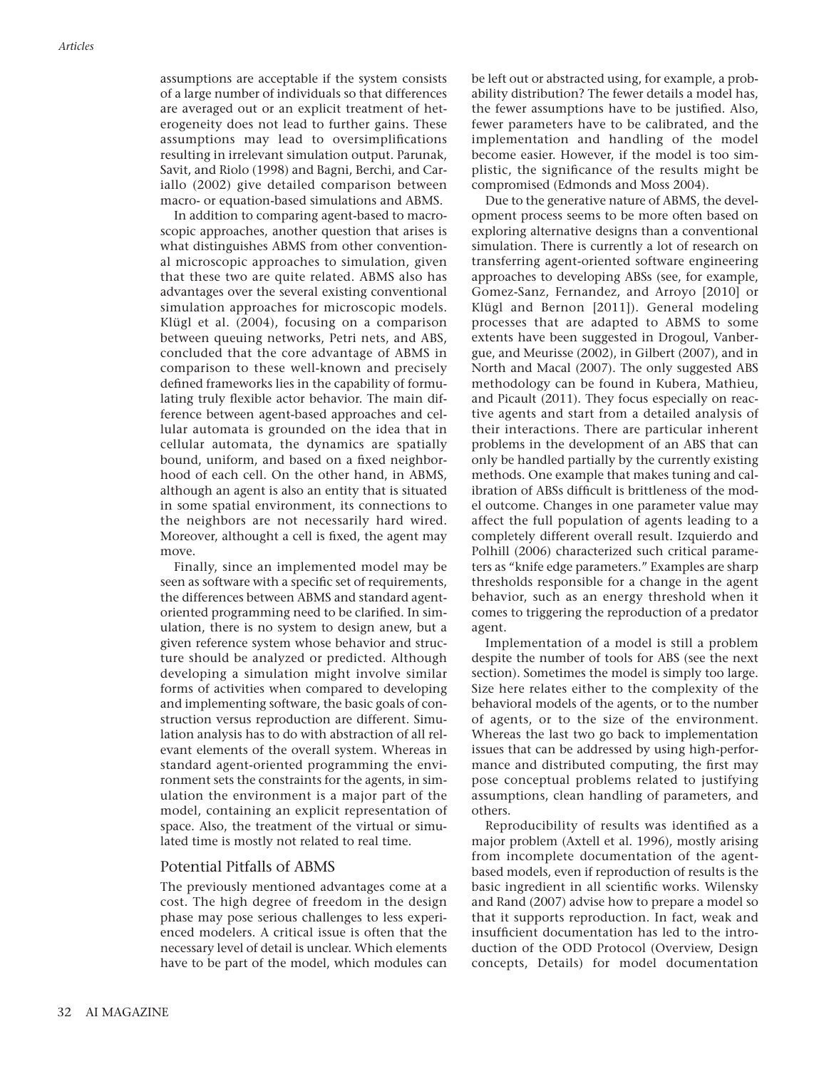assumptions are acceptable if the system consists of a large number of individuals so that differences are averaged out or an explicit treatment of heterogeneity does not lead to further gains. These assumptions may lead to oversimplifications resulting in irrelevant simulation output. Parunak, Savit, and Riolo (1998) and Bagni, Berchi, and Cariallo (2002) give detailed comparison between macro- or equation-based simulations and ABMS.

In addition to comparing agent-based to macroscopic approaches, another question that arises is what distinguishes ABMS from other conventional microscopic approaches to simulation, given that these two are quite related. ABMS also has advantages over the several existing conventional simulation approaches for microscopic models. Klügl et al. (2004), focusing on a comparison between queuing networks, Petri nets, and ABS, concluded that the core advantage of ABMS in comparison to these well-known and precisely defined frameworks lies in the capability of formulating truly flexible actor behavior. The main difference between agent-based approaches and cellular automata is grounded on the idea that in cellular automata, the dynamics are spatially bound, uniform, and based on a fixed neighborhood of each cell. On the other hand, in ABMS, although an agent is also an entity that is situated in some spatial environment, its connections to the neighbors are not necessarily hard wired. Moreover, althought a cell is fixed, the agent may move.

Finally, since an implemented model may be seen as software with a specific set of requirements, the differences between ABMS and standard agentoriented programming need to be clarified. In simulation, there is no system to design anew, but a given reference system whose behavior and structure should be analyzed or predicted. Although developing a simulation might involve similar forms of activities when compared to developing and implementing software, the basic goals of construction versus reproduction are different. Simulation analysis has to do with abstraction of all relevant elements of the overall system. Whereas in standard agent-oriented programming the environment sets the constraints for the agents, in simulation the environment is a major part of the model, containing an explicit representation of space. Also, the treatment of the virtual or simulated time is mostly not related to real time.

### Potential Pitfalls of ABMS

The previously mentioned advantages come at a cost. The high degree of freedom in the design phase may pose serious challenges to less experienced modelers. A critical issue is often that the necessary level of detail is unclear. Which elements have to be part of the model, which modules can

be left out or abstracted using, for example, a probability distribution? The fewer details a model has, the fewer assumptions have to be justified. Also, fewer parameters have to be calibrated, and the implementation and handling of the model become easier. However, if the model is too simplistic, the significance of the results might be compromised (Edmonds and Moss 2004).

Due to the generative nature of ABMS, the development process seems to be more often based on exploring alternative designs than a conventional simulation. There is currently a lot of research on transferring agent-oriented software engineering approaches to developing ABSs (see, for example, Gomez-Sanz, Fernandez, and Arroyo [2010] or Klügl and Bernon [2011]). General modeling processes that are adapted to ABMS to some extents have been suggested in Drogoul, Vanbergue, and Meurisse (2002), in Gilbert (2007), and in North and Macal (2007). The only suggested ABS methodology can be found in Kubera, Mathieu, and Picault (2011). They focus especially on reactive agents and start from a detailed analysis of their interactions. There are particular inherent problems in the development of an ABS that can only be handled partially by the currently existing methods. One example that makes tuning and calibration of ABSs difficult is brittleness of the model outcome. Changes in one parameter value may affect the full population of agents leading to a completely different overall result. Izquierdo and Polhill (2006) characterized such critical parameters as "knife edge parameters." Examples are sharp thresholds responsible for a change in the agent behavior, such as an energy threshold when it comes to triggering the reproduction of a predator agent.

Implementation of a model is still a problem despite the number of tools for ABS (see the next section). Sometimes the model is simply too large. Size here relates either to the complexity of the behavioral models of the agents, or to the number of agents, or to the size of the environment. Whereas the last two go back to implementation issues that can be addressed by using high-performance and distributed computing, the first may pose conceptual problems related to justifying assumptions, clean handling of parameters, and others.

Reproducibility of results was identified as a major problem (Axtell et al. 1996), mostly arising from incomplete documentation of the agentbased models, even if reproduction of results is the basic ingredient in all scientific works. Wilensky and Rand (2007) advise how to prepare a model so that it supports reproduction. In fact, weak and insufficient documentation has led to the introduction of the ODD Protocol (Overview, Design concepts, Details) for model documentation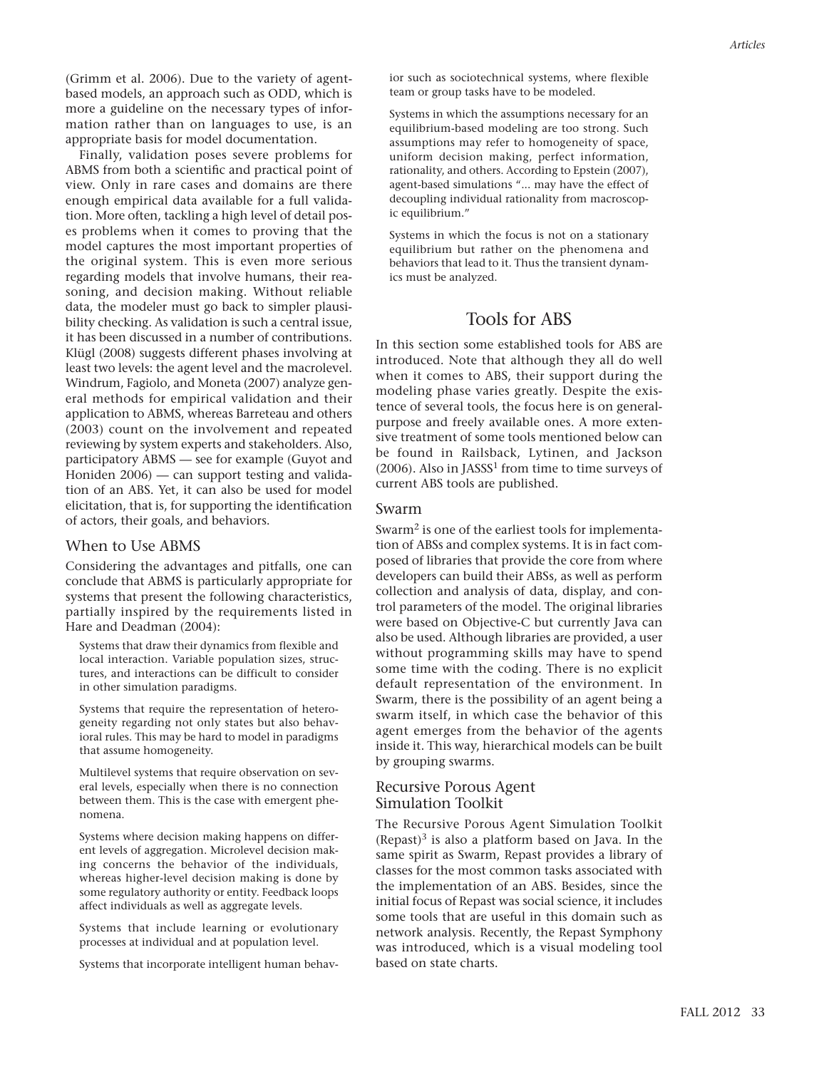(Grimm et al. 2006). Due to the variety of agentbased models, an approach such as ODD, which is more a guideline on the necessary types of information rather than on languages to use, is an appropriate basis for model documentation.

Finally, validation poses severe problems for ABMS from both a scientific and practical point of view. Only in rare cases and domains are there enough empirical data available for a full validation. More often, tackling a high level of detail poses problems when it comes to proving that the model captures the most important properties of the original system. This is even more serious regarding models that involve humans, their reasoning, and decision making. Without reliable data, the modeler must go back to simpler plausibility checking. As validation is such a central issue, it has been discussed in a number of contributions. Klügl (2008) suggests different phases involving at least two levels: the agent level and the macrolevel. Windrum, Fagiolo, and Moneta (2007) analyze general methods for empirical validation and their application to ABMS, whereas Barreteau and others (2003) count on the involvement and repeated reviewing by system experts and stakeholders. Also, participatory ABMS — see for example (Guyot and Honiden 2006) — can support testing and validation of an ABS. Yet, it can also be used for model elicitation, that is, for supporting the identification of actors, their goals, and behaviors.

### When to Use ABMS

Considering the advantages and pitfalls, one can conclude that ABMS is particularly appropriate for systems that present the following characteristics, partially inspired by the requirements listed in Hare and Deadman (2004):

Systems that draw their dynamics from flexible and local interaction. Variable population sizes, structures, and interactions can be difficult to consider in other simulation paradigms.

Systems that require the representation of heterogeneity regarding not only states but also behavioral rules. This may be hard to model in paradigms that assume homogeneity.

Multilevel systems that require observation on several levels, especially when there is no connection between them. This is the case with emergent phenomena.

Systems where decision making happens on different levels of aggregation. Microlevel decision making concerns the behavior of the individuals, whereas higher-level decision making is done by some regulatory authority or entity. Feedback loops affect individuals as well as aggregate levels.

Systems that include learning or evolutionary processes at individual and at population level.

Systems that incorporate intelligent human behav-

ior such as sociotechnical systems, where flexible team or group tasks have to be modeled.

Systems in which the assumptions necessary for an equilibrium-based modeling are too strong. Such assumptions may refer to homogeneity of space, uniform decision making, perfect information, rationality, and others. According to Epstein (2007), agent-based simulations "... may have the effect of decoupling individual rationality from macroscopic equilibrium."

Systems in which the focus is not on a stationary equilibrium but rather on the phenomena and behaviors that lead to it. Thus the transient dynamics must be analyzed.

# Tools for ABS

In this section some established tools for ABS are introduced. Note that although they all do well when it comes to ABS, their support during the modeling phase varies greatly. Despite the existence of several tools, the focus here is on generalpurpose and freely available ones. A more extensive treatment of some tools mentioned below can be found in Railsback, Lytinen, and Jackson  $(2006)$ . Also in JASSS<sup>1</sup> from time to time surveys of current ABS tools are published.

### Swarm

Swarm2 is one of the earliest tools for implementation of ABSs and complex systems. It is in fact composed of libraries that provide the core from where developers can build their ABSs, as well as perform collection and analysis of data, display, and control parameters of the model. The original libraries were based on Objective-C but currently Java can also be used. Although libraries are provided, a user without programming skills may have to spend some time with the coding. There is no explicit default representation of the environment. In Swarm, there is the possibility of an agent being a swarm itself, in which case the behavior of this agent emerges from the behavior of the agents inside it. This way, hierarchical models can be built by grouping swarms.

### Recursive Porous Agent Simulation Toolkit

The Recursive Porous Agent Simulation Toolkit  $($ Repast $)^3$  is also a platform based on Java. In the same spirit as Swarm, Repast provides a library of classes for the most common tasks associated with the implementation of an ABS. Besides, since the initial focus of Repast was social science, it includes some tools that are useful in this domain such as network analysis. Recently, the Repast Symphony was introduced, which is a visual modeling tool based on state charts.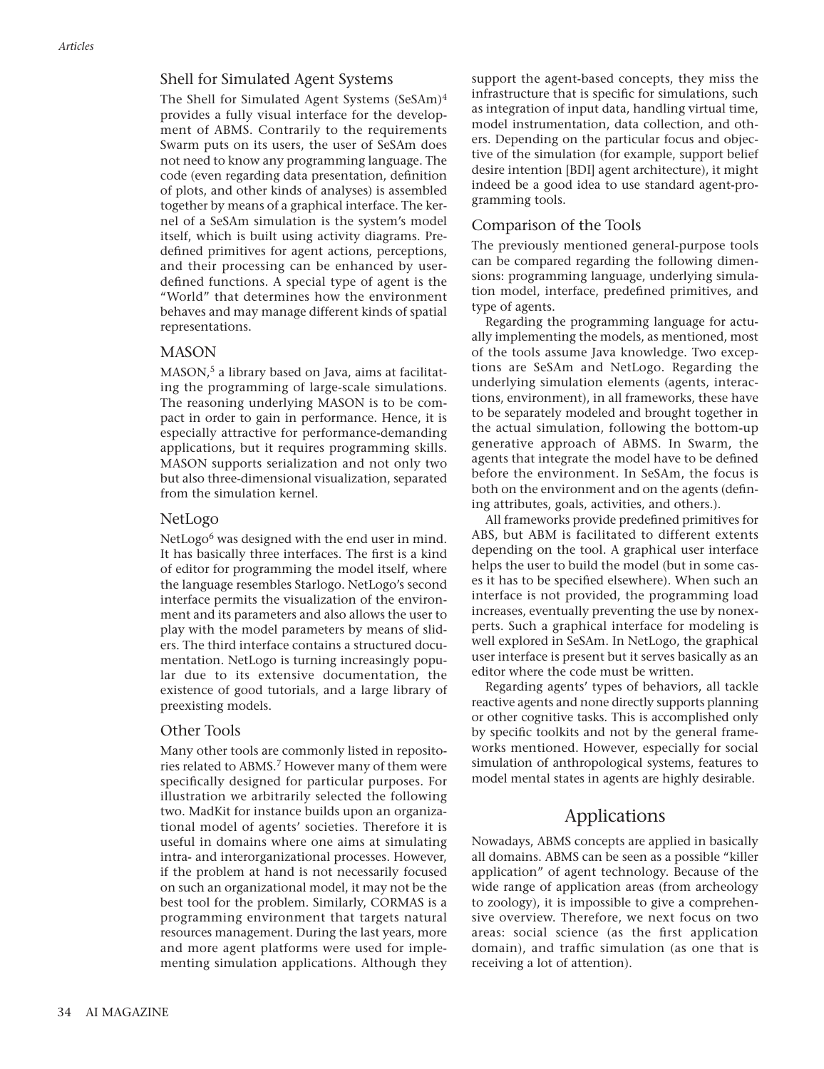### Shell for Simulated Agent Systems

The Shell for Simulated Agent Systems (SeSAm)<sup>4</sup> provides a fully visual interface for the development of ABMS. Contrarily to the requirements Swarm puts on its users, the user of SeSAm does not need to know any programming language. The code (even regarding data presentation, definition of plots, and other kinds of analyses) is assembled together by means of a graphical interface. The kernel of a SeSAm simulation is the system's model itself, which is built using activity diagrams. Predefined primitives for agent actions, perceptions, and their processing can be enhanced by userdefined functions. A special type of agent is the "World" that determines how the environment behaves and may manage different kinds of spatial representations.

# MASON

MASON, <sup>5</sup> a library based on Java, aims at facilitating the programming of large-scale simulations. The reasoning underlying MASON is to be compact in order to gain in performance. Hence, it is especially attractive for performance-demanding applications, but it requires programming skills. MASON supports serialization and not only two but also three-dimensional visualization, separated from the simulation kernel.

# NetLogo

NetLogo<sup>6</sup> was designed with the end user in mind. It has basically three interfaces. The first is a kind of editor for programming the model itself, where the language resembles Starlogo. NetLogo's second interface permits the visualization of the environment and its parameters and also allows the user to play with the model parameters by means of sliders. The third interface contains a structured documentation. NetLogo is turning increasingly popular due to its extensive documentation, the existence of good tutorials, and a large library of preexisting models.

# Other Tools

Many other tools are commonly listed in repositories related to ABMS. <sup>7</sup> However many of them were specifically designed for particular purposes. For illustration we arbitrarily selected the following two. MadKit for instance builds upon an organizational model of agents' societies. Therefore it is useful in domains where one aims at simulating intra- and interorganizational processes. However, if the problem at hand is not necessarily focused on such an organizational model, it may not be the best tool for the problem. Similarly, CORMAS is a programming environment that targets natural resources management. During the last years, more and more agent platforms were used for implementing simulation applications. Although they support the agent-based concepts, they miss the infrastructure that is specific for simulations, such as integration of input data, handling virtual time, model instrumentation, data collection, and others. Depending on the particular focus and objective of the simulation (for example, support belief desire intention [BDI] agent architecture), it might indeed be a good idea to use standard agent-programming tools.

# Comparison of the Tools

The previously mentioned general-purpose tools can be compared regarding the following dimensions: programming language, underlying simulation model, interface, predefined primitives, and type of agents.

Regarding the programming language for actually implementing the models, as mentioned, most of the tools assume Java knowledge. Two exceptions are SeSAm and NetLogo. Regarding the underlying simulation elements (agents, interactions, environment), in all frameworks, these have to be separately modeled and brought together in the actual simulation, following the bottom-up generative approach of ABMS. In Swarm, the agents that integrate the model have to be defined before the environment. In SeSAm, the focus is both on the environment and on the agents (defining attributes, goals, activities, and others.).

All frameworks provide predefined primitives for ABS, but ABM is facilitated to different extents depending on the tool. A graphical user interface helps the user to build the model (but in some cases it has to be specified elsewhere). When such an interface is not provided, the programming load increases, eventually preventing the use by nonexperts. Such a graphical interface for modeling is well explored in SeSAm. In NetLogo, the graphical user interface is present but it serves basically as an editor where the code must be written.

Regarding agents' types of behaviors, all tackle reactive agents and none directly supports planning or other cognitive tasks. This is accomplished only by specific toolkits and not by the general frameworks mentioned. However, especially for social simulation of anthropological systems, features to model mental states in agents are highly desirable.

# Applications

Nowadays, ABMS concepts are applied in basically all domains. ABMS can be seen as a possible "killer application" of agent technology. Because of the wide range of application areas (from archeology to zoology), it is impossible to give a comprehensive overview. Therefore, we next focus on two areas: social science (as the first application domain), and traffic simulation (as one that is receiving a lot of attention).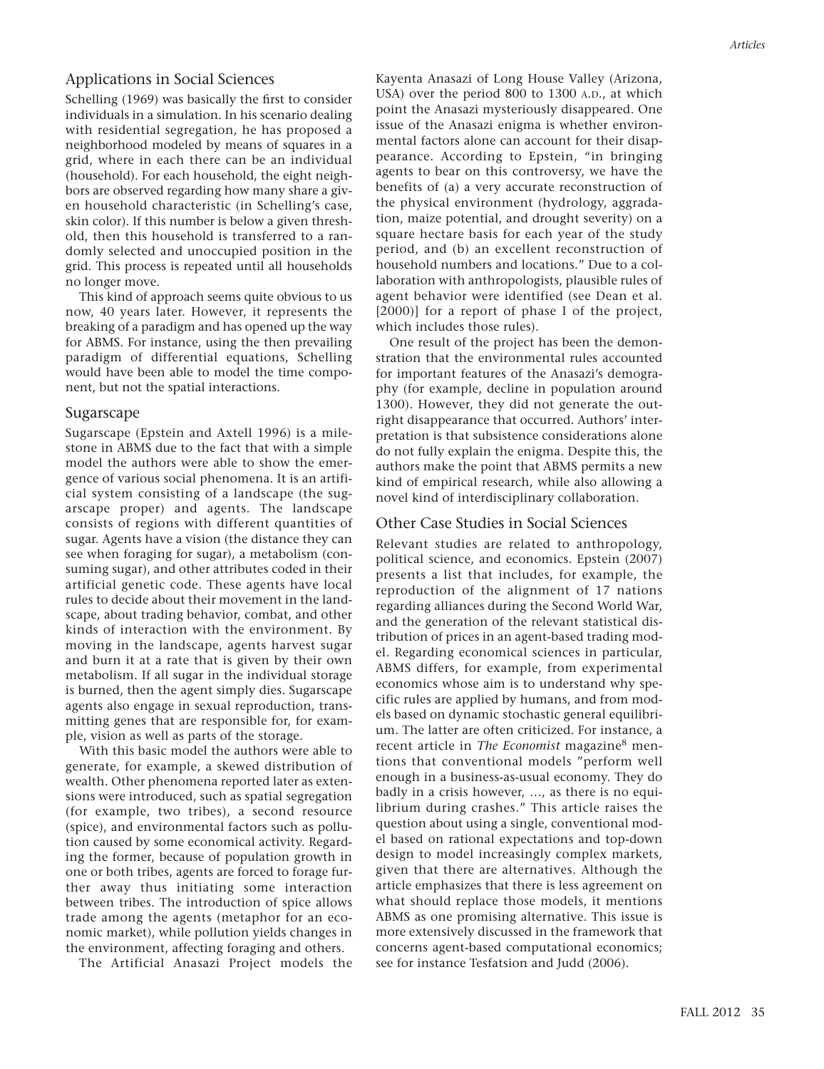### Applications in Social Sciences

Schelling (1969) was basically the first to consider individuals in a simulation. In his scenario dealing with residential segregation, he has proposed a neighborhood modeled by means of squares in a grid, where in each there can be an individual (household). For each household, the eight neighbors are observed regarding how many share a given household characteristic (in Schelling's case, skin color). If this number is below a given threshold, then this household is transferred to a randomly selected and unoccupied position in the grid. This process is repeated until all households no longer move.

This kind of approach seems quite obvious to us now, 40 years later. However, it represents the breaking of a paradigm and has opened up the way for ABMS. For instance, using the then prevailing paradigm of differential equations, Schelling would have been able to model the time component, but not the spatial interactions.

### Sugarscape

Sugarscape (Epstein and Axtell 1996) is a milestone in ABMS due to the fact that with a simple model the authors were able to show the emergence of various social phenomena. It is an artificial system consisting of a landscape (the sugarscape proper) and agents. The landscape consists of regions with different quantities of sugar. Agents have a vision (the distance they can see when foraging for sugar), a metabolism (consuming sugar), and other attributes coded in their artificial genetic code. These agents have local rules to decide about their movement in the landscape, about trading behavior, combat, and other kinds of interaction with the environment. By moving in the landscape, agents harvest sugar and burn it at a rate that is given by their own metabolism. If all sugar in the individual storage is burned, then the agent simply dies. Sugarscape agents also engage in sexual reproduction, transmitting genes that are responsible for, for example, vision as well as parts of the storage.

With this basic model the authors were able to generate, for example, a skewed distribution of wealth. Other phenomena reported later as extensions were introduced, such as spatial segregation (for example, two tribes), a second resource (spice), and environmental factors such as pollution caused by some economical activity. Regarding the former, because of population growth in one or both tribes, agents are forced to forage further away thus initiating some interaction between tribes. The introduction of spice allows trade among the agents (metaphor for an economic market), while pollution yields changes in the environment, affecting foraging and others.

The Artificial Anasazi Project models the

Kayenta Anasazi of Long House Valley (Arizona, USA) over the period 800 to 1300 A.D., at which point the Anasazi mysteriously disappeared. One issue of the Anasazi enigma is whether environmental factors alone can account for their disappearance. According to Epstein, "in bringing agents to bear on this controversy, we have the benefits of (a) a very accurate reconstruction of the physical environment (hydrology, aggradation, maize potential, and drought severity) on a square hectare basis for each year of the study period, and (b) an excellent reconstruction of household numbers and locations." Due to a collaboration with anthropologists, plausible rules of agent behavior were identified (see Dean et al.

One result of the project has been the demonstration that the environmental rules accounted for important features of the Anasazi's demography (for example, decline in population around 1300). However, they did not generate the outright disappearance that occurred. Authors' interpretation is that subsistence considerations alone do not fully explain the enigma. Despite this, the authors make the point that ABMS permits a new kind of empirical research, while also allowing a novel kind of interdisciplinary collaboration.

[2000)] for a report of phase I of the project,

which includes those rules).

### Other Case Studies in Social Sciences

Relevant studies are related to anthropology, political science, and economics. Epstein (2007) presents a list that includes, for example, the reproduction of the alignment of 17 nations regarding alliances during the Second World War, and the generation of the relevant statistical distribution of prices in an agent-based trading model. Regarding economical sciences in particular, ABMS differs, for example, from experimental economics whose aim is to understand why specific rules are applied by humans, and from models based on dynamic stochastic general equilibrium. The latter are often criticized. For instance, a recent article in *The Economist* magazine<sup>8</sup> mentions that conventional models "perform well enough in a business-as-usual economy. They do badly in a crisis however, …, as there is no equilibrium during crashes." This article raises the question about using a single, conventional model based on rational expectations and top-down design to model increasingly complex markets, given that there are alternatives. Although the article emphasizes that there is less agreement on what should replace those models, it mentions ABMS as one promising alternative. This issue is more extensively discussed in the framework that concerns agent-based computational economics; see for instance Tesfatsion and Judd (2006).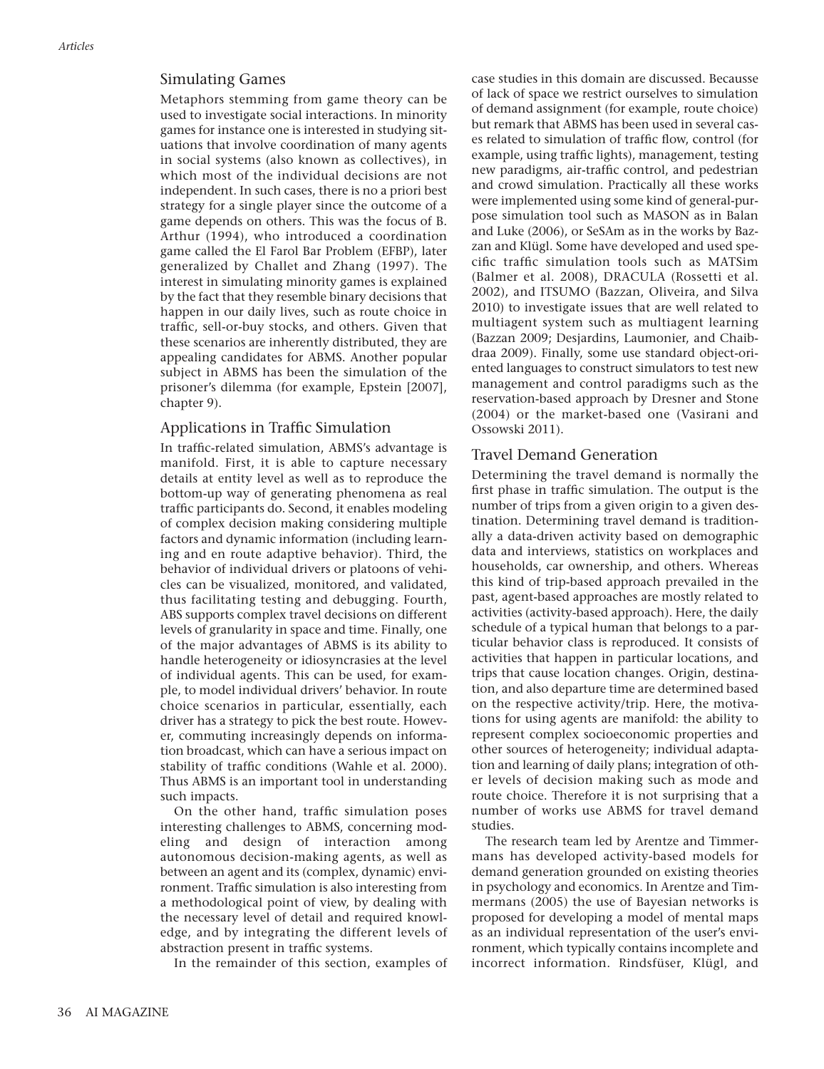### Simulating Games

Metaphors stemming from game theory can be used to investigate social interactions. In minority games for instance one is interested in studying situations that involve coordination of many agents in social systems (also known as collectives), in which most of the individual decisions are not independent. In such cases, there is no a priori best strategy for a single player since the outcome of a game depends on others. This was the focus of B. Arthur (1994), who introduced a coordination game called the El Farol Bar Problem (EFBP), later generalized by Challet and Zhang (1997). The interest in simulating minority games is explained by the fact that they resemble binary decisions that happen in our daily lives, such as route choice in traffic, sell-or-buy stocks, and others. Given that these scenarios are inherently distributed, they are appealing candidates for ABMS. Another popular subject in ABMS has been the simulation of the prisoner's dilemma (for example, Epstein [2007], chapter 9).

### Applications in Traffic Simulation

In traffic-related simulation, ABMS's advantage is manifold. First, it is able to capture necessary details at entity level as well as to reproduce the bottom-up way of generating phenomena as real traffic participants do. Second, it enables modeling of complex decision making considering multiple factors and dynamic information (including learning and en route adaptive behavior). Third, the behavior of individual drivers or platoons of vehicles can be visualized, monitored, and validated, thus facilitating testing and debugging. Fourth, ABS supports complex travel decisions on different levels of granularity in space and time. Finally, one of the major advantages of ABMS is its ability to handle heterogeneity or idiosyncrasies at the level of individual agents. This can be used, for example, to model individual drivers' behavior. In route choice scenarios in particular, essentially, each driver has a strategy to pick the best route. However, commuting increasingly depends on information broadcast, which can have a serious impact on stability of traffic conditions (Wahle et al. 2000). Thus ABMS is an important tool in understanding such impacts.

On the other hand, traffic simulation poses interesting challenges to ABMS, concerning modeling and design of interaction among autonomous decision-making agents, as well as between an agent and its (complex, dynamic) environment. Traffic simulation is also interesting from a methodological point of view, by dealing with the necessary level of detail and required knowledge, and by integrating the different levels of abstraction present in traffic systems.

In the remainder of this section, examples of

case studies in this domain are discussed. Becausse of lack of space we restrict ourselves to simulation of demand assignment (for example, route choice) but remark that ABMS has been used in several cases related to simulation of traffic flow, control (for example, using traffic lights), management, testing new paradigms, air-traffic control, and pedestrian and crowd simulation. Practically all these works were implemented using some kind of general-purpose simulation tool such as MASON as in Balan and Luke (2006), or SeSAm as in the works by Bazzan and Klügl. Some have developed and used specific traffic simulation tools such as MATSim (Balmer et al. 2008), DRACULA (Rossetti et al. 2002), and ITSUMO (Bazzan, Oliveira, and Silva 2010) to investigate issues that are well related to multiagent system such as multiagent learning (Bazzan 2009; Desjardins, Laumonier, and Chaibdraa 2009). Finally, some use standard object-oriented languages to construct simulators to test new management and control paradigms such as the reservation-based approach by Dresner and Stone (2004) or the market-based one (Vasirani and Ossowski 2011).

### Travel Demand Generation

Determining the travel demand is normally the first phase in traffic simulation. The output is the number of trips from a given origin to a given destination. Determining travel demand is traditionally a data-driven activity based on demographic data and interviews, statistics on workplaces and households, car ownership, and others. Whereas this kind of trip-based approach prevailed in the past, agent-based approaches are mostly related to activities (activity-based approach). Here, the daily schedule of a typical human that belongs to a particular behavior class is reproduced. It consists of activities that happen in particular locations, and trips that cause location changes. Origin, destination, and also departure time are determined based on the respective activity/trip. Here, the motivations for using agents are manifold: the ability to represent complex socioeconomic properties and other sources of heterogeneity; individual adaptation and learning of daily plans; integration of other levels of decision making such as mode and route choice. Therefore it is not surprising that a number of works use ABMS for travel demand studies.

The research team led by Arentze and Timmermans has developed activity-based models for demand generation grounded on existing theories in psychology and economics. In Arentze and Timmermans (2005) the use of Bayesian networks is proposed for developing a model of mental maps as an individual representation of the user's environment, which typically contains incomplete and incorrect information. Rindsfüser, Klügl, and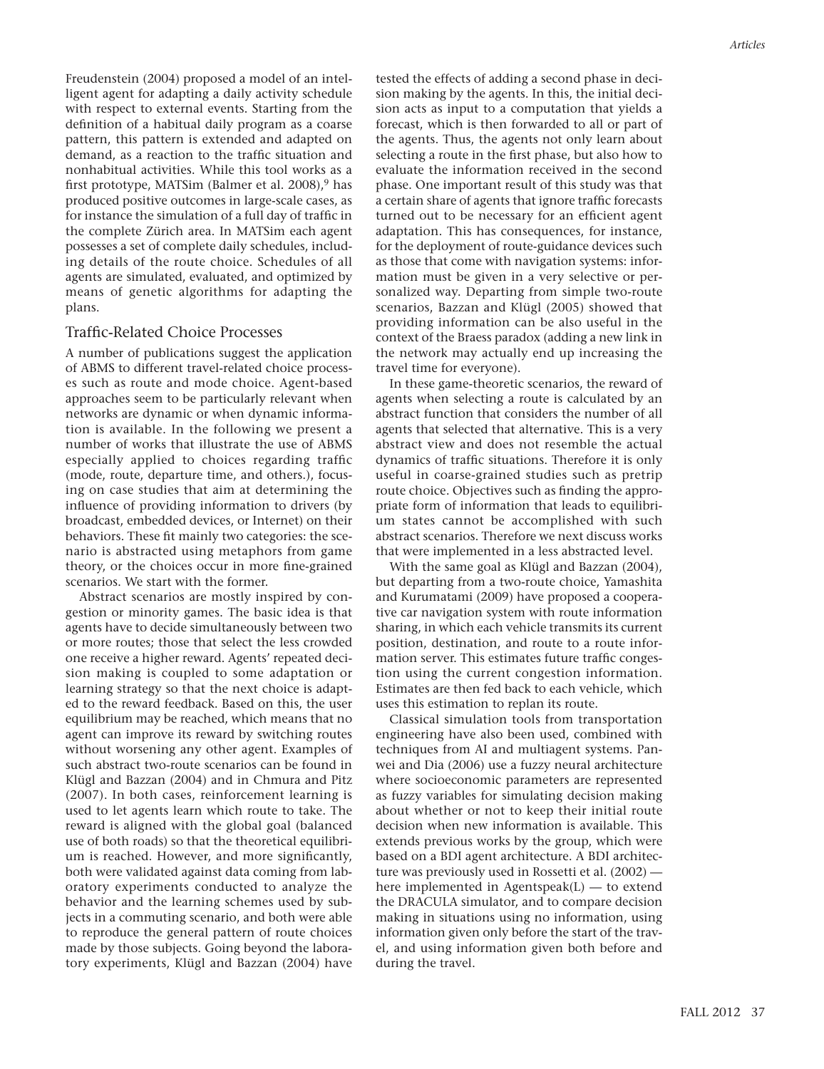Freudenstein (2004) proposed a model of an intelligent agent for adapting a daily activity schedule with respect to external events. Starting from the definition of a habitual daily program as a coarse pattern, this pattern is extended and adapted on demand, as a reaction to the traffic situation and nonhabitual activities. While this tool works as a first prototype, MATSim (Balmer et al. 2008), <sup>9</sup> has produced positive outcomes in large-scale cases, as for instance the simulation of a full day of traffic in the complete Zürich area. In MATSim each agent possesses a set of complete daily schedules, including details of the route choice. Schedules of all agents are simulated, evaluated, and optimized by means of genetic algorithms for adapting the plans.

### Traffic-Related Choice Processes

A number of publications suggest the application of ABMS to different travel-related choice processes such as route and mode choice. Agent-based approaches seem to be particularly relevant when networks are dynamic or when dynamic information is available. In the following we present a number of works that illustrate the use of ABMS especially applied to choices regarding traffic (mode, route, departure time, and others.), focusing on case studies that aim at determining the influence of providing information to drivers (by broadcast, embedded devices, or Internet) on their behaviors. These fit mainly two categories: the scenario is abstracted using metaphors from game theory, or the choices occur in more fine-grained scenarios. We start with the former.

Abstract scenarios are mostly inspired by congestion or minority games. The basic idea is that agents have to decide simultaneously between two or more routes; those that select the less crowded one receive a higher reward. Agents' repeated decision making is coupled to some adaptation or learning strategy so that the next choice is adapted to the reward feedback. Based on this, the user equilibrium may be reached, which means that no agent can improve its reward by switching routes without worsening any other agent. Examples of such abstract two-route scenarios can be found in Klügl and Bazzan (2004) and in Chmura and Pitz (2007). In both cases, reinforcement learning is used to let agents learn which route to take. The reward is aligned with the global goal (balanced use of both roads) so that the theoretical equilibrium is reached. However, and more significantly, both were validated against data coming from laboratory experiments conducted to analyze the behavior and the learning schemes used by subjects in a commuting scenario, and both were able to reproduce the general pattern of route choices made by those subjects. Going beyond the laboratory experiments, Klügl and Bazzan (2004) have

tested the effects of adding a second phase in decision making by the agents. In this, the initial decision acts as input to a computation that yields a forecast, which is then forwarded to all or part of the agents. Thus, the agents not only learn about selecting a route in the first phase, but also how to evaluate the information received in the second phase. One important result of this study was that a certain share of agents that ignore traffic forecasts turned out to be necessary for an efficient agent adaptation. This has consequences, for instance, for the deployment of route-guidance devices such as those that come with navigation systems: information must be given in a very selective or personalized way. Departing from simple two-route scenarios, Bazzan and Klügl (2005) showed that providing information can be also useful in the context of the Braess paradox (adding a new link in the network may actually end up increasing the travel time for everyone).

In these game-theoretic scenarios, the reward of agents when selecting a route is calculated by an abstract function that considers the number of all agents that selected that alternative. This is a very abstract view and does not resemble the actual dynamics of traffic situations. Therefore it is only useful in coarse-grained studies such as pretrip route choice. Objectives such as finding the appropriate form of information that leads to equilibrium states cannot be accomplished with such abstract scenarios. Therefore we next discuss works that were implemented in a less abstracted level.

With the same goal as Klügl and Bazzan (2004), but departing from a two-route choice, Yamashita and Kurumatami (2009) have proposed a cooperative car navigation system with route information sharing, in which each vehicle transmits its current position, destination, and route to a route information server. This estimates future traffic congestion using the current congestion information. Estimates are then fed back to each vehicle, which uses this estimation to replan its route.

Classical simulation tools from transportation engineering have also been used, combined with techniques from AI and multiagent systems. Panwei and Dia (2006) use a fuzzy neural architecture where socioeconomic parameters are represented as fuzzy variables for simulating decision making about whether or not to keep their initial route decision when new information is available. This extends previous works by the group, which were based on a BDI agent architecture. A BDI architecture was previously used in Rossetti et al. (2002) here implemented in Agentspeak(L) — to extend the DRACULA simulator, and to compare decision making in situations using no information, using information given only before the start of the travel, and using information given both before and during the travel.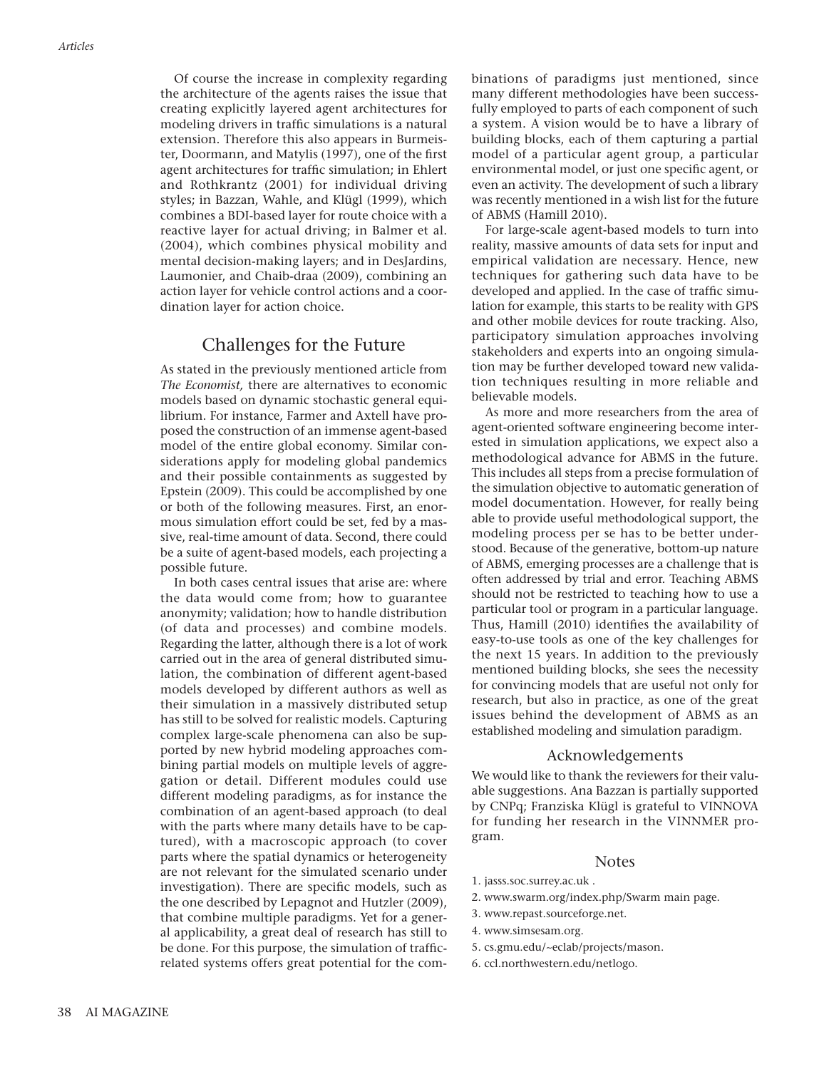Of course the increase in complexity regarding the architecture of the agents raises the issue that creating explicitly layered agent architectures for modeling drivers in traffic simulations is a natural extension. Therefore this also appears in Burmeister, Doormann, and Matylis (1997), one of the first agent architectures for traffic simulation; in Ehlert and Rothkrantz (2001) for individual driving styles; in Bazzan, Wahle, and Klügl (1999), which combines a BDI-based layer for route choice with a reactive layer for actual driving; in Balmer et al. (2004), which combines physical mobility and mental decision-making layers; and in DesJardins, Laumonier, and Chaib-draa (2009), combining an action layer for vehicle control actions and a coordination layer for action choice.

# Challenges for the Future

As stated in the previously mentioned article from *The Economist,* there are alternatives to economic models based on dynamic stochastic general equilibrium. For instance, Farmer and Axtell have proposed the construction of an immense agent-based model of the entire global economy. Similar considerations apply for modeling global pandemics and their possible containments as suggested by Epstein (2009). This could be accomplished by one or both of the following measures. First, an enormous simulation effort could be set, fed by a massive, real-time amount of data. Second, there could be a suite of agent-based models, each projecting a possible future.

In both cases central issues that arise are: where the data would come from; how to guarantee anonymity; validation; how to handle distribution (of data and processes) and combine models. Regarding the latter, although there is a lot of work carried out in the area of general distributed simulation, the combination of different agent-based models developed by different authors as well as their simulation in a massively distributed setup has still to be solved for realistic models. Capturing complex large-scale phenomena can also be supported by new hybrid modeling approaches combining partial models on multiple levels of aggregation or detail. Different modules could use different modeling paradigms, as for instance the combination of an agent-based approach (to deal with the parts where many details have to be captured), with a macroscopic approach (to cover parts where the spatial dynamics or heterogeneity are not relevant for the simulated scenario under investigation). There are specific models, such as the one described by Lepagnot and Hutzler (2009), that combine multiple paradigms. Yet for a general applicability, a great deal of research has still to be done. For this purpose, the simulation of trafficrelated systems offers great potential for the combinations of paradigms just mentioned, since many different methodologies have been successfully employed to parts of each component of such a system. A vision would be to have a library of building blocks, each of them capturing a partial model of a particular agent group, a particular environmental model, or just one specific agent, or even an activity. The development of such a library was recently mentioned in a wish list for the future of ABMS (Hamill 2010).

For large-scale agent-based models to turn into reality, massive amounts of data sets for input and empirical validation are necessary. Hence, new techniques for gathering such data have to be developed and applied. In the case of traffic simulation for example, this starts to be reality with GPS and other mobile devices for route tracking. Also, participatory simulation approaches involving stakeholders and experts into an ongoing simulation may be further developed toward new validation techniques resulting in more reliable and believable models.

As more and more researchers from the area of agent-oriented software engineering become interested in simulation applications, we expect also a methodological advance for ABMS in the future. This includes all steps from a precise formulation of the simulation objective to automatic generation of model documentation. However, for really being able to provide useful methodological support, the modeling process per se has to be better understood. Because of the generative, bottom-up nature of ABMS, emerging processes are a challenge that is often addressed by trial and error. Teaching ABMS should not be restricted to teaching how to use a particular tool or program in a particular language. Thus, Hamill (2010) identifies the availability of easy-to-use tools as one of the key challenges for the next 15 years. In addition to the previously mentioned building blocks, she sees the necessity for convincing models that are useful not only for research, but also in practice, as one of the great issues behind the development of ABMS as an established modeling and simulation paradigm.

#### Acknowledgements

We would like to thank the reviewers for their valuable suggestions. Ana Bazzan is partially supported by CNPq; Franziska Klügl is grateful to VINNOVA for funding her research in the VINNMER program.

#### Notes

- 1. jasss.soc.surrey.ac.uk .
- 2. www.swarm.org/index.php/Swarm main page.
- 3. www.repast.sourceforge.net.
- 4. www.simsesam.org.
- 5. cs.gmu.edu/~eclab/projects/mason.
- 6. ccl.northwestern.edu/netlogo.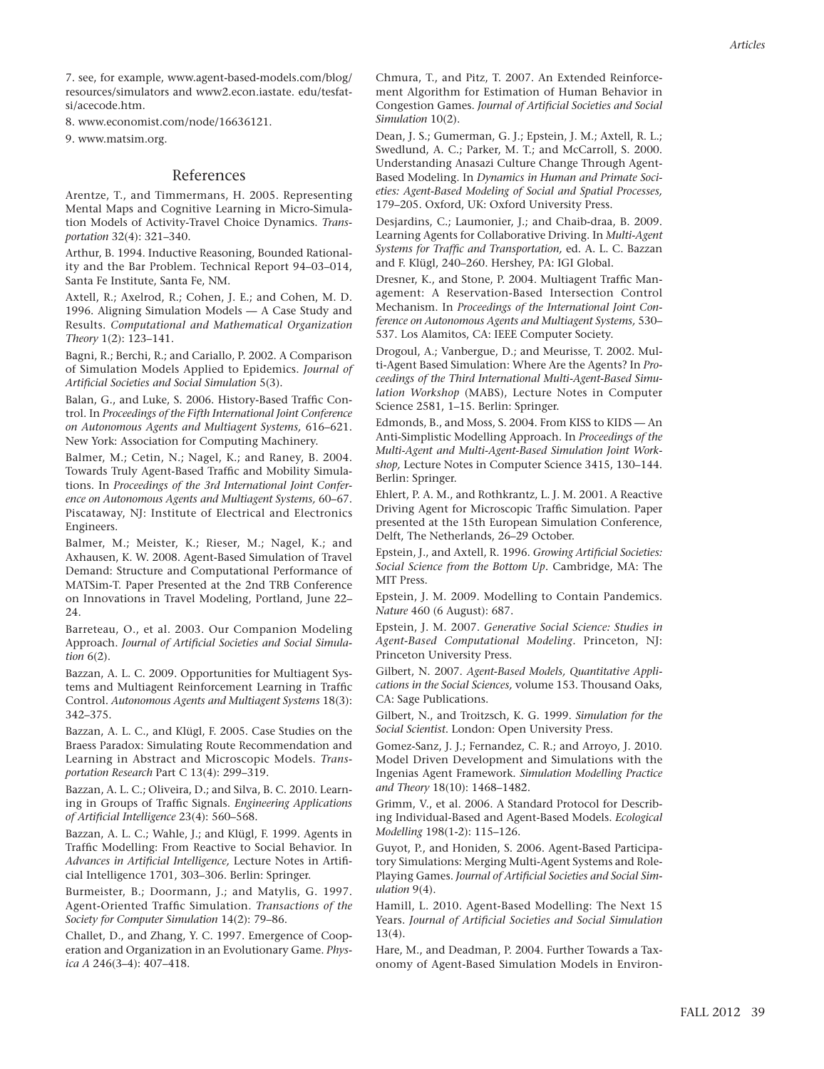7. see, for example, www.agent-based-models.com/blog/ resources/simulators and www2.econ.iastate. edu/tesfatsi/acecode.htm.

8. www.economist.com/node/16636121.

9. www.matsim.org.

### References

Arentze, T., and Timmermans, H. 2005. Representing Mental Maps and Cognitive Learning in Micro-Simulation Models of Activity-Travel Choice Dynamics. *Transportation* 32(4): 321–340.

Arthur, B. 1994. Inductive Reasoning, Bounded Rationality and the Bar Problem. Technical Report 94–03–014, Santa Fe Institute, Santa Fe, NM.

Axtell, R.; Axelrod, R.; Cohen, J. E.; and Cohen, M. D. 1996. Aligning Simulation Models — A Case Study and Results. *Computational and Mathematical Organization Theory* 1(2): 123–141.

Bagni, R.; Berchi, R.; and Cariallo, P. 2002. A Comparison of Simulation Models Applied to Epidemics. *Journal of Artificial Societies and Social Simulation* 5(3).

Balan, G., and Luke, S. 2006. History-Based Traffic Control. In *Proceedings of the Fifth International Joint Conference on Autonomous Agents and Multiagent Systems,* 616–621. New York: Association for Computing Machinery.

Balmer, M.; Cetin, N.; Nagel, K.; and Raney, B. 2004. Towards Truly Agent-Based Traffic and Mobility Simulations. In *Proceedings of the 3rd International Joint Conference on Autonomous Agents and Multiagent Systems,* 60–67. Piscataway, NJ: Institute of Electrical and Electronics Engineers.

Balmer, M.; Meister, K.; Rieser, M.; Nagel, K.; and Axhausen, K. W. 2008. Agent-Based Simulation of Travel Demand: Structure and Computational Performance of MATSim-T. Paper Presented at the 2nd TRB Conference on Innovations in Travel Modeling, Portland, June 22– 24.

Barreteau, O., et al. 2003. Our Companion Modeling Approach. *Journal of Artificial Societies and Social Simulation* 6(2).

Bazzan, A. L. C. 2009. Opportunities for Multiagent Systems and Multiagent Reinforcement Learning in Traffic Control. *Autonomous Agents and Multiagent Systems* 18(3): 342–375.

Bazzan, A. L. C., and Klügl, F. 2005. Case Studies on the Braess Paradox: Simulating Route Recommendation and Learning in Abstract and Microscopic Models. *Transportation Research* Part C 13(4): 299–319.

Bazzan, A. L. C.; Oliveira, D.; and Silva, B. C. 2010. Learning in Groups of Traffic Signals. *Engineering Applications of Artificial Intelligence* 23(4): 560–568.

Bazzan, A. L. C.; Wahle, J.; and Klügl, F. 1999. Agents in Traffic Modelling: From Reactive to Social Behavior. In *Advances in Artificial Intelligence,* Lecture Notes in Artificial Intelligence 1701, 303–306. Berlin: Springer.

Burmeister, B.; Doormann, J.; and Matylis, G. 1997. Agent-Oriented Traffic Simulation. *Transactions of the Society for Computer Simulation* 14(2): 79–86.

Challet, D., and Zhang, Y. C. 1997. Emergence of Cooperation and Organization in an Evolutionary Game. *Physica A* 246(3–4): 407–418.

Chmura, T., and Pitz, T. 2007. An Extended Reinforcement Algorithm for Estimation of Human Behavior in Congestion Games. *Journal of Artificial Societies and Social Simulation* 10(2).

Dean, J. S.; Gumerman, G. J.; Epstein, J. M.; Axtell, R. L.; Swedlund, A. C.; Parker, M. T.; and McCarroll, S. 2000. Understanding Anasazi Culture Change Through Agent-Based Modeling. In *Dynamics in Human and Primate Societies: Agent-Based Modeling of Social and Spatial Processes,* 179–205. Oxford, UK: Oxford University Press.

Desjardins, C.; Laumonier, J.; and Chaib-draa, B. 2009. Learning Agents for Collaborative Driving. In *Multi-Agent Systems for Traffic and Transportation,* ed. A. L. C. Bazzan and F. Klügl, 240–260. Hershey, PA: IGI Global.

Dresner, K., and Stone, P. 2004. Multiagent Traffic Management: A Reservation-Based Intersection Control Mechanism. In *Proceedings of the International Joint Conference on Autonomous Agents and Multiagent Systems,* 530– 537. Los Alamitos, CA: IEEE Computer Society.

Drogoul, A.; Vanbergue, D.; and Meurisse, T. 2002. Multi-Agent Based Simulation: Where Are the Agents? In *Proceedings of the Third International Multi-Agent-Based Simulation Workshop* (MABS), Lecture Notes in Computer Science 2581, 1–15. Berlin: Springer.

Edmonds, B., and Moss, S. 2004. From KISS to KIDS — An Anti-Simplistic Modelling Approach. In *Proceedings of the Multi-Agent and Multi-Agent-Based Simulation Joint Workshop,* Lecture Notes in Computer Science 3415, 130–144. Berlin: Springer.

Ehlert, P. A. M., and Rothkrantz, L. J. M. 2001. A Reactive Driving Agent for Microscopic Traffic Simulation. Paper presented at the 15th European Simulation Conference, Delft, The Netherlands, 26–29 October.

Epstein, J., and Axtell, R. 1996. *Growing Artificial Societies: Social Science from the Bottom Up.* Cambridge, MA: The MIT Press.

Epstein, J. M. 2009. Modelling to Contain Pandemics. *Nature* 460 (6 August): 687.

Epstein, J. M. 2007. *Generative Social Science: Studies in Agent-Based Computational Modeling*. Princeton, NJ: Princeton University Press.

Gilbert, N. 2007. *Agent-Based Models, Quantitative Applications in the Social Sciences,* volume 153. Thousand Oaks, CA: Sage Publications.

Gilbert, N., and Troitzsch, K. G. 1999. *Simulation for the Social Scientist*. London: Open University Press.

Gomez-Sanz, J. J.; Fernandez, C. R.; and Arroyo, J. 2010. Model Driven Development and Simulations with the Ingenias Agent Framework. *Simulation Modelling Practice and Theory* 18(10): 1468–1482.

Grimm, V., et al. 2006. A Standard Protocol for Describing Individual-Based and Agent-Based Models. *Ecological Modelling* 198(1-2): 115–126.

Guyot, P., and Honiden, S. 2006. Agent-Based Participatory Simulations: Merging Multi-Agent Systems and Role-Playing Games. *Journal of Artificial Societies and Social Simulation* 9(4).

Hamill, L. 2010. Agent-Based Modelling: The Next 15 Years. *Journal of Artificial Societies and Social Simulation* 13(4).

Hare, M., and Deadman, P. 2004. Further Towards a Taxonomy of Agent-Based Simulation Models in Environ